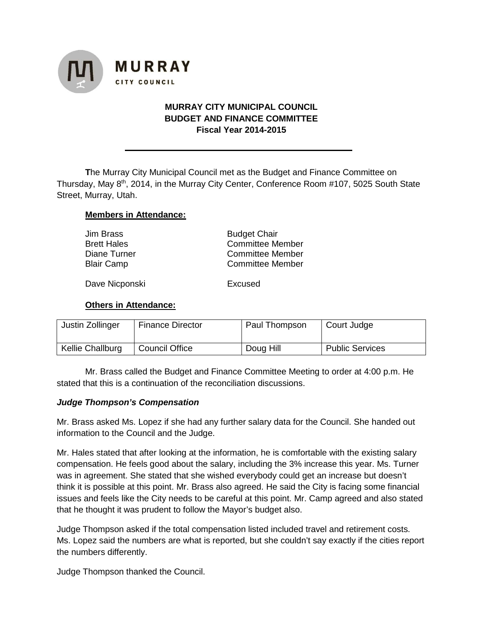

## **MURRAY CITY MUNICIPAL COUNCIL BUDGET AND FINANCE COMMITTEE Fiscal Year 2014-2015**

**T**he Murray City Municipal Council met as the Budget and Finance Committee on Thursday, May 8<sup>th</sup>, 2014, in the Murray City Center, Conference Room #107, 5025 South State Street, Murray, Utah.

### **Members in Attendance:**

| Jim Brass          | <b>Budget Chair</b>     |  |  |
|--------------------|-------------------------|--|--|
| <b>Brett Hales</b> | <b>Committee Member</b> |  |  |
| Diane Turner       | <b>Committee Member</b> |  |  |
| <b>Blair Camp</b>  | <b>Committee Member</b> |  |  |
|                    |                         |  |  |

Dave Nicponski<br>
Excused

#### **Others in Attendance:**

| Justin Zollinger | <b>Finance Director</b> | Paul Thompson | Court Judge            |
|------------------|-------------------------|---------------|------------------------|
| Kellie Challburg | <b>Council Office</b>   | Doug Hill     | <b>Public Services</b> |

Mr. Brass called the Budget and Finance Committee Meeting to order at 4:00 p.m. He stated that this is a continuation of the reconciliation discussions.

#### *Judge Thompson's Compensation*

Mr. Brass asked Ms. Lopez if she had any further salary data for the Council. She handed out information to the Council and the Judge.

Mr. Hales stated that after looking at the information, he is comfortable with the existing salary compensation. He feels good about the salary, including the 3% increase this year. Ms. Turner was in agreement. She stated that she wished everybody could get an increase but doesn't think it is possible at this point. Mr. Brass also agreed. He said the City is facing some financial issues and feels like the City needs to be careful at this point. Mr. Camp agreed and also stated that he thought it was prudent to follow the Mayor's budget also.

Judge Thompson asked if the total compensation listed included travel and retirement costs. Ms. Lopez said the numbers are what is reported, but she couldn't say exactly if the cities report the numbers differently.

Judge Thompson thanked the Council.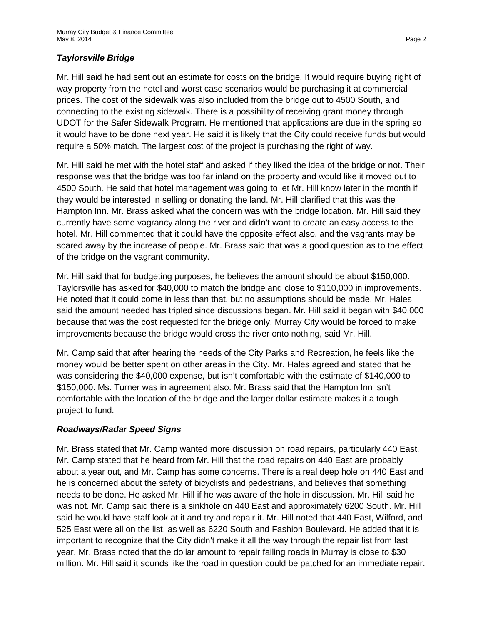# *Taylorsville Bridge*

Mr. Hill said he had sent out an estimate for costs on the bridge. It would require buying right of way property from the hotel and worst case scenarios would be purchasing it at commercial prices. The cost of the sidewalk was also included from the bridge out to 4500 South, and connecting to the existing sidewalk. There is a possibility of receiving grant money through UDOT for the Safer Sidewalk Program. He mentioned that applications are due in the spring so it would have to be done next year. He said it is likely that the City could receive funds but would require a 50% match. The largest cost of the project is purchasing the right of way.

Mr. Hill said he met with the hotel staff and asked if they liked the idea of the bridge or not. Their response was that the bridge was too far inland on the property and would like it moved out to 4500 South. He said that hotel management was going to let Mr. Hill know later in the month if they would be interested in selling or donating the land. Mr. Hill clarified that this was the Hampton Inn. Mr. Brass asked what the concern was with the bridge location. Mr. Hill said they currently have some vagrancy along the river and didn't want to create an easy access to the hotel. Mr. Hill commented that it could have the opposite effect also, and the vagrants may be scared away by the increase of people. Mr. Brass said that was a good question as to the effect of the bridge on the vagrant community.

Mr. Hill said that for budgeting purposes, he believes the amount should be about \$150,000. Taylorsville has asked for \$40,000 to match the bridge and close to \$110,000 in improvements. He noted that it could come in less than that, but no assumptions should be made. Mr. Hales said the amount needed has tripled since discussions began. Mr. Hill said it began with \$40,000 because that was the cost requested for the bridge only. Murray City would be forced to make improvements because the bridge would cross the river onto nothing, said Mr. Hill.

Mr. Camp said that after hearing the needs of the City Parks and Recreation, he feels like the money would be better spent on other areas in the City. Mr. Hales agreed and stated that he was considering the \$40,000 expense, but isn't comfortable with the estimate of \$140,000 to \$150,000. Ms. Turner was in agreement also. Mr. Brass said that the Hampton Inn isn't comfortable with the location of the bridge and the larger dollar estimate makes it a tough project to fund.

## *Roadways/Radar Speed Signs*

Mr. Brass stated that Mr. Camp wanted more discussion on road repairs, particularly 440 East. Mr. Camp stated that he heard from Mr. Hill that the road repairs on 440 East are probably about a year out, and Mr. Camp has some concerns. There is a real deep hole on 440 East and he is concerned about the safety of bicyclists and pedestrians, and believes that something needs to be done. He asked Mr. Hill if he was aware of the hole in discussion. Mr. Hill said he was not. Mr. Camp said there is a sinkhole on 440 East and approximately 6200 South. Mr. Hill said he would have staff look at it and try and repair it. Mr. Hill noted that 440 East, Wilford, and 525 East were all on the list, as well as 6220 South and Fashion Boulevard. He added that it is important to recognize that the City didn't make it all the way through the repair list from last year. Mr. Brass noted that the dollar amount to repair failing roads in Murray is close to \$30 million. Mr. Hill said it sounds like the road in question could be patched for an immediate repair.